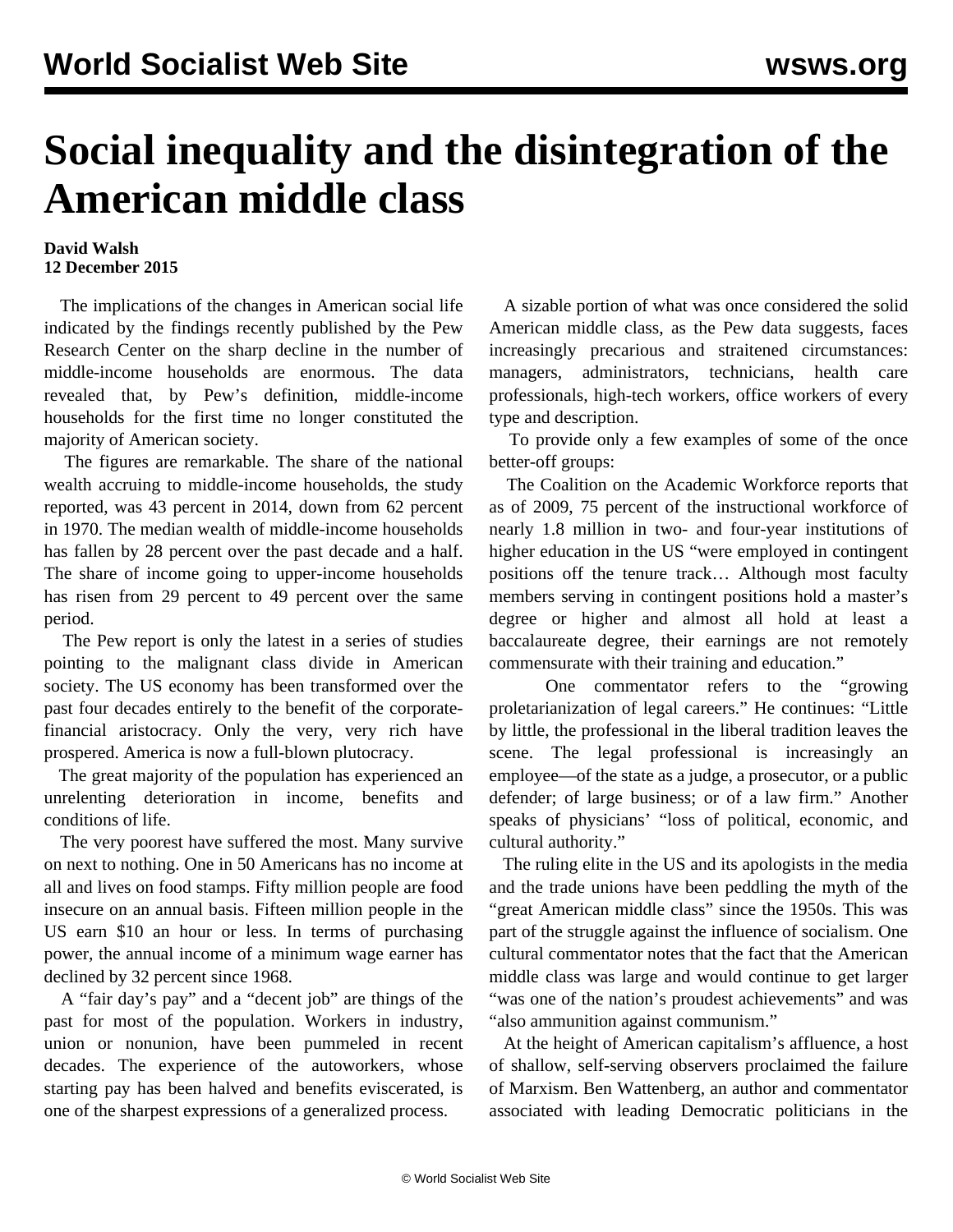## **Social inequality and the disintegration of the American middle class**

## **David Walsh 12 December 2015**

 The implications of the changes in American social life indicated by the findings recently published by the Pew Research Center on the sharp decline in the number of middle-income households are enormous. The data revealed that, by Pew's definition, middle-income households for the first time no longer constituted the majority of American society.

 The figures are remarkable. The share of the national wealth accruing to middle-income households, the study reported, was 43 percent in 2014, down from 62 percent in 1970. The median wealth of middle-income households has fallen by 28 percent over the past decade and a half. The share of income going to upper-income households has risen from 29 percent to 49 percent over the same period.

 The Pew report is only the latest in a series of studies pointing to the malignant class divide in American society. The US economy has been transformed over the past four decades entirely to the benefit of the corporatefinancial aristocracy. Only the very, very rich have prospered. America is now a full-blown plutocracy.

 The great majority of the population has experienced an unrelenting deterioration in income, benefits and conditions of life.

 The very poorest have suffered the most. Many survive on next to nothing. One in 50 Americans has no income at all and lives on food stamps. Fifty million people are food insecure on an annual basis. Fifteen million people in the US earn \$10 an hour or less. In terms of purchasing power, the annual income of a minimum wage earner has declined by 32 percent since 1968.

 A "fair day's pay" and a "decent job" are things of the past for most of the population. Workers in industry, union or nonunion, have been pummeled in recent decades. The experience of the autoworkers, whose starting pay has been halved and benefits eviscerated, is one of the sharpest expressions of a generalized process.

 A sizable portion of what was once considered the solid American middle class, as the Pew data suggests, faces increasingly precarious and straitened circumstances: managers, administrators, technicians, health care professionals, high-tech workers, office workers of every type and description.

 To provide only a few examples of some of the once better-off groups:

 The Coalition on the Academic Workforce reports that as of 2009, 75 percent of the instructional workforce of nearly 1.8 million in two- and four-year institutions of higher education in the US "were employed in contingent positions off the tenure track… Although most faculty members serving in contingent positions hold a master's degree or higher and almost all hold at least a baccalaureate degree, their earnings are not remotely commensurate with their training and education."

 One commentator refers to the "growing proletarianization of legal careers." He continues: "Little by little, the professional in the liberal tradition leaves the scene. The legal professional is increasingly an employee—of the state as a judge, a prosecutor, or a public defender; of large business; or of a law firm." Another speaks of physicians' "loss of political, economic, and cultural authority."

 The ruling elite in the US and its apologists in the media and the trade unions have been peddling the myth of the "great American middle class" since the 1950s. This was part of the struggle against the influence of socialism. One cultural commentator notes that the fact that the American middle class was large and would continue to get larger "was one of the nation's proudest achievements" and was "also ammunition against communism."

 At the height of American capitalism's affluence, a host of shallow, self-serving observers proclaimed the failure of Marxism. Ben Wattenberg, an author and commentator associated with leading Democratic politicians in the